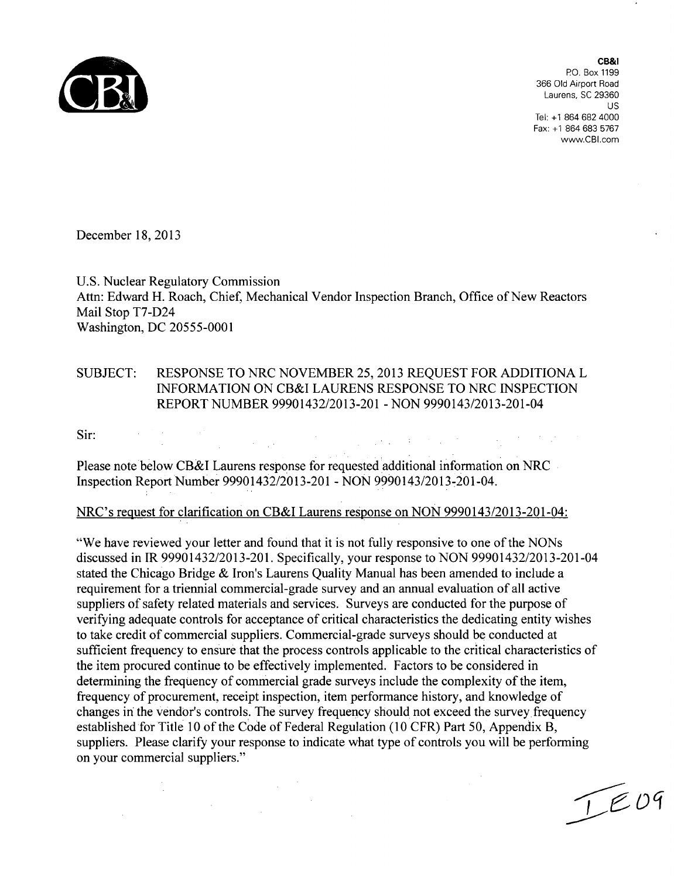

CB&I PO. Box 1199 366 Old Airport Road Laurens, SC 29360**us** Tel: +1 864 682 4000 Fax: +1 864 683 5767 www.CBI.com

December 18, 2013

U.S. Nuclear Regulatory Commission Attn: Edward H. Roach, Chief, Mechanical Vendor Inspection Branch, Office of New Reactors Mail Stop T7-D24 Washington, DC 20555-0001

## SUBJECT: RESPONSE TO NRC NOVEMBER 25, 2013 REQUEST FOR ADDITIONA L INFORMATION ON CB&I LAURENS RESPONSE TO NRC INSPECTION REPORT NUMBER 99901432/2013-201 - NON 9990143/2013-201-04

a sa mga kalawang sa kalawang sa mga kalawang sa mga kalawang sa mga kalawang sa mga kalawang sa kalawang sa m<br>Mga kalawang sa mga kalawang sa mga kalawang sa mga kalawang sa mga kalawang sa mga kalawang sa mga kalawang s

Sir:

Please note below CB&I Laurens response for requested additional information on NRC Inspection Report Number 99901432/2013-201 - NON 9990143/2013-201-04.

## NRC's request for clarification on CB&I Laurens response on NON 9990143/2013-201-04:

"We have reviewed your letter and found that it is not fully responsive to one of the NONs discussed in IR 99901432/2013-201. Specifically, your response to NON 99901432/2013-201-04 stated the Chicago Bridge & Iron's Laurens Quality Manual has been amended to include a requirement for a triennial commercial-grade survey and an annual evaluation of all active suppliers of safety related materials and services. Surveys are conducted for the purpose of verifying adequate controls for acceptance of critical characteristics the dedicating entity wishes to take credit of commercial suppliers. Commercial-grade surveys should be conducted at sufficient frequency to ensure that the process controls applicable to the critical characteristics of the item procured continue to be effectively implemented. Factors to be considered in determining the frequency of commercial grade surveys include the complexity of the item, frequency of procurement, receipt inspection, item performance history, and knowledge of changes in the vendor's controls. The survey frequency should not exceed the survey frequency established for Title 10 of the Code of Federal Regulation (10 CFR) Part 50, Appendix B, suppliers. Please clarify your response to indicate what type of controls you will be performing on your commercial suppliers."

 $\sim 10^{-10}$ 

 $T$  $E$ 09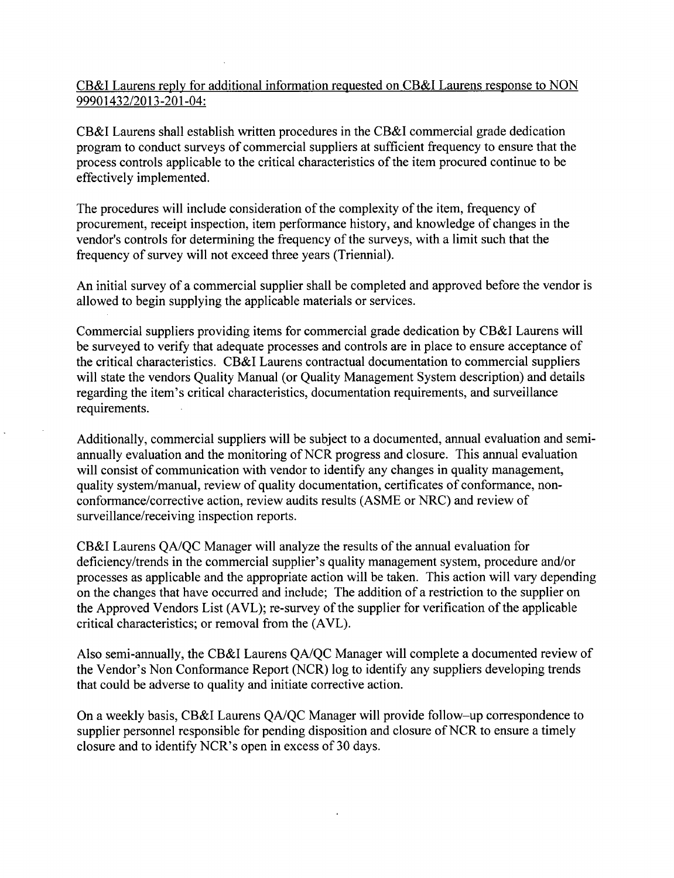CB&I Laurens reply for additional information requested on CB&I Laurens response to NON 99901432/2013-201-04:

CB&I Laurens shall establish written procedures in the CB&I commercial grade dedication program to conduct surveys of commercial suppliers at sufficient frequency to ensure that the process controls applicable to the critical characteristics of the item procured continue to be effectively implemented.

The procedures will include consideration of the complexity of the item, frequency of procurement, receipt inspection, item performance history, and knowledge of changes in the vendor's controls for determining the frequency of the surveys, with a limit such that the frequency of survey will not exceed three years (Triennial).

An initial survey of a commercial supplier shall be completed and approved before the vendor is allowed to begin supplying the applicable materials or services.

Commercial suppliers providing items for commercial grade dedication by CB&I Laurens will be surveyed to verify that adequate processes and controls are in place to ensure acceptance of the critical characteristics. CB&I Laurens contractual documentation to commercial suppliers will state the vendors Quality Manual (or Quality Management System description) and details regarding the item's critical characteristics, documentation requirements, and surveillance requirements.

Additionally, commercial suppliers will be subject to a documented, annual evaluation and semiannually evaluation and the monitoring of NCR progress and closure. This annual evaluation will consist of communication with vendor to identify any changes in quality management, quality system/manual, review of quality documentation, certificates of conformance, nonconformance/corrective action, review audits results (ASME or NRC) and review of surveillance/receiving inspection reports.

CB&I Laurens QA/QC Manager will analyze the results of the annual evaluation for deficiency/trends in the commercial supplier's quality management system, procedure and/or processes as applicable and the appropriate action will be taken. This action will vary depending on the changes that have occurred and include; The addition of a restriction to the supplier on the Approved Vendors List (AVL); re-survey of the supplier for verification of the applicable critical characteristics; or removal from the (AVL).

Also semi-annually, the CB&I Laurens QA/QC Manager will complete a documented review of the Vendor's Non Conformance Report (NCR) log to identify any suppliers developing trends that could be adverse to quality and initiate corrective action.

On a weekly basis, CB&I Laurens QA/QC Manager will provide follow-up correspondence to supplier personnel responsible for pending disposition and closure of NCR to ensure a timely closure and to identify NCR's open in excess of 30 days.